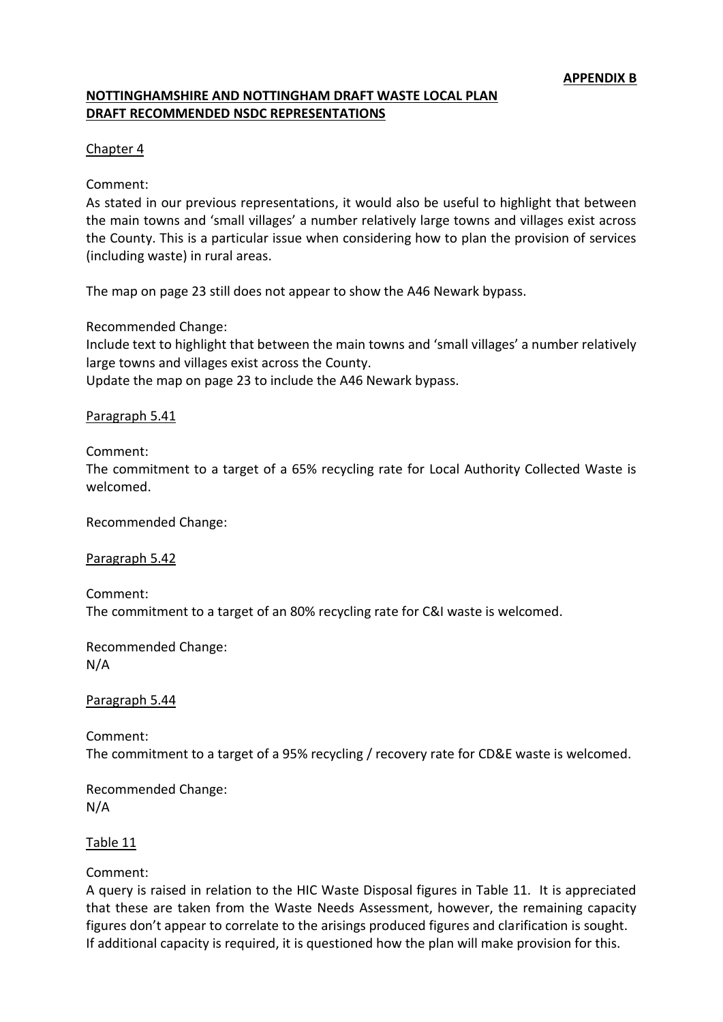# **NOTTINGHAMSHIRE AND NOTTINGHAM DRAFT WASTE LOCAL PLAN DRAFT RECOMMENDED NSDC REPRESENTATIONS**

#### Chapter 4

#### Comment:

As stated in our previous representations, it would also be useful to highlight that between the main towns and 'small villages' a number relatively large towns and villages exist across the County. This is a particular issue when considering how to plan the provision of services (including waste) in rural areas.

The map on page 23 still does not appear to show the A46 Newark bypass.

Recommended Change:

Include text to highlight that between the main towns and 'small villages' a number relatively large towns and villages exist across the County.

Update the map on page 23 to include the A46 Newark bypass.

### Paragraph 5.41

### Comment:

The commitment to a target of a 65% recycling rate for Local Authority Collected Waste is welcomed.

Recommended Change:

Paragraph 5.42

Comment: The commitment to a target of an 80% recycling rate for C&I waste is welcomed.

Recommended Change: N/A

Paragraph 5.44

Comment: The commitment to a target of a 95% recycling / recovery rate for CD&E waste is welcomed.

Recommended Change: N/A

Table 11

Comment:

A query is raised in relation to the HIC Waste Disposal figures in Table 11. It is appreciated that these are taken from the Waste Needs Assessment, however, the remaining capacity figures don't appear to correlate to the arisings produced figures and clarification is sought. If additional capacity is required, it is questioned how the plan will make provision for this.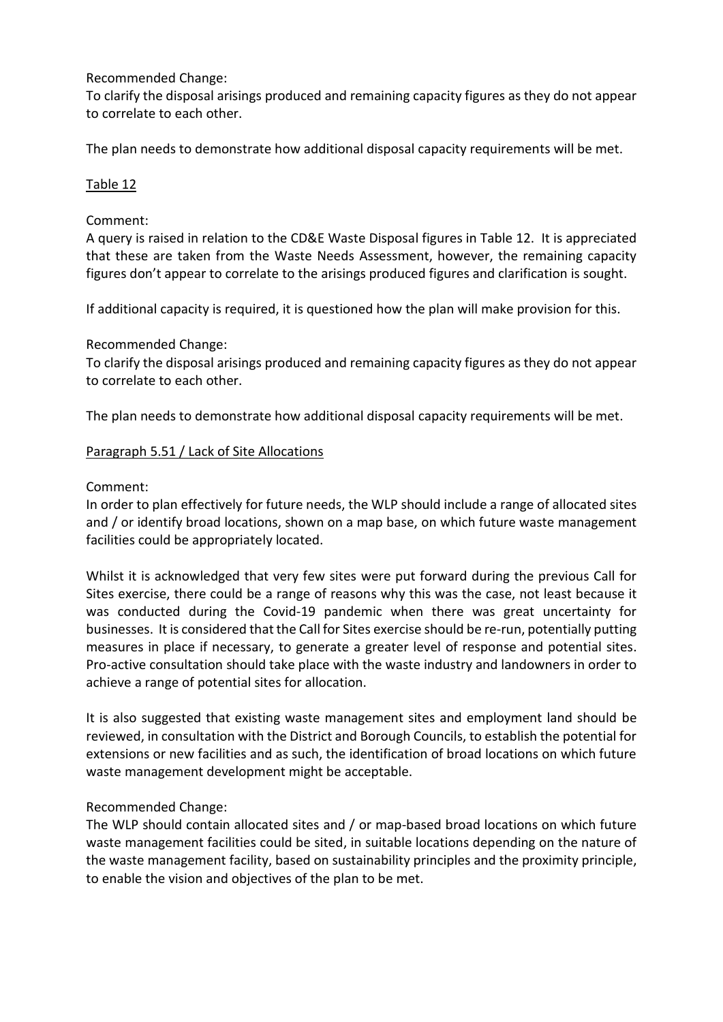To clarify the disposal arisings produced and remaining capacity figures as they do not appear to correlate to each other.

The plan needs to demonstrate how additional disposal capacity requirements will be met.

# Table 12

# Comment:

A query is raised in relation to the CD&E Waste Disposal figures in Table 12. It is appreciated that these are taken from the Waste Needs Assessment, however, the remaining capacity figures don't appear to correlate to the arisings produced figures and clarification is sought.

If additional capacity is required, it is questioned how the plan will make provision for this.

# Recommended Change:

To clarify the disposal arisings produced and remaining capacity figures as they do not appear to correlate to each other.

The plan needs to demonstrate how additional disposal capacity requirements will be met.

# Paragraph 5.51 / Lack of Site Allocations

# Comment:

In order to plan effectively for future needs, the WLP should include a range of allocated sites and / or identify broad locations, shown on a map base, on which future waste management facilities could be appropriately located.

Whilst it is acknowledged that very few sites were put forward during the previous Call for Sites exercise, there could be a range of reasons why this was the case, not least because it was conducted during the Covid-19 pandemic when there was great uncertainty for businesses. It is considered that the Call for Sites exercise should be re-run, potentially putting measures in place if necessary, to generate a greater level of response and potential sites. Pro-active consultation should take place with the waste industry and landowners in order to achieve a range of potential sites for allocation.

It is also suggested that existing waste management sites and employment land should be reviewed, in consultation with the District and Borough Councils, to establish the potential for extensions or new facilities and as such, the identification of broad locations on which future waste management development might be acceptable.

# Recommended Change:

The WLP should contain allocated sites and / or map-based broad locations on which future waste management facilities could be sited, in suitable locations depending on the nature of the waste management facility, based on sustainability principles and the proximity principle, to enable the vision and objectives of the plan to be met.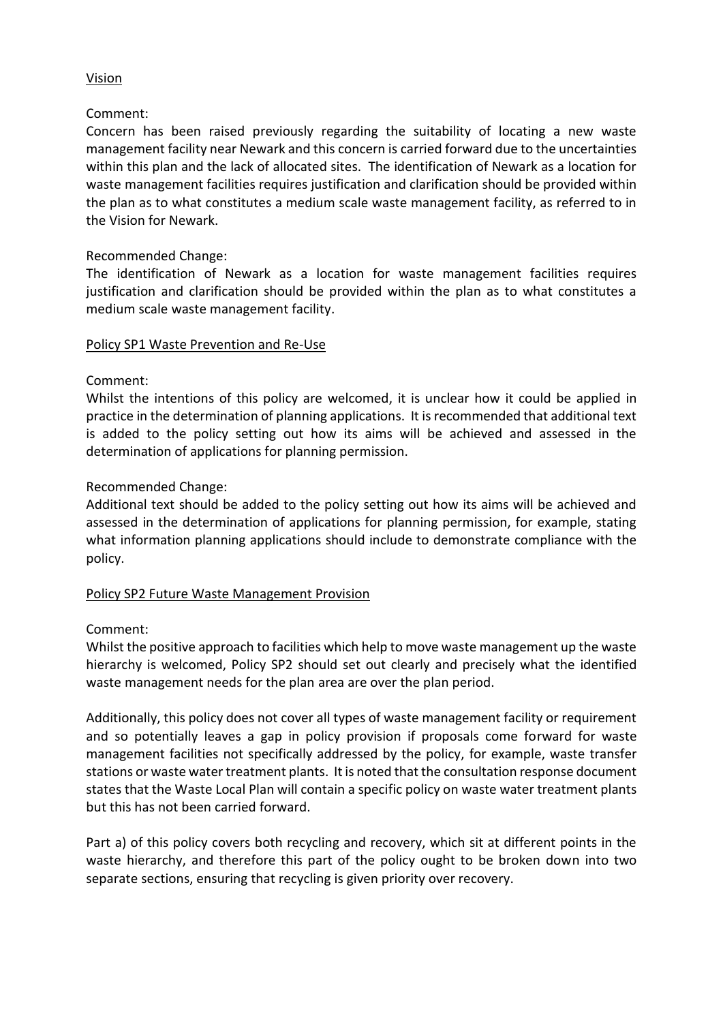## Vision

## Comment:

Concern has been raised previously regarding the suitability of locating a new waste management facility near Newark and this concern is carried forward due to the uncertainties within this plan and the lack of allocated sites. The identification of Newark as a location for waste management facilities requires justification and clarification should be provided within the plan as to what constitutes a medium scale waste management facility, as referred to in the Vision for Newark.

### Recommended Change:

The identification of Newark as a location for waste management facilities requires justification and clarification should be provided within the plan as to what constitutes a medium scale waste management facility.

#### Policy SP1 Waste Prevention and Re-Use

# Comment:

Whilst the intentions of this policy are welcomed, it is unclear how it could be applied in practice in the determination of planning applications. It is recommended that additional text is added to the policy setting out how its aims will be achieved and assessed in the determination of applications for planning permission.

### Recommended Change:

Additional text should be added to the policy setting out how its aims will be achieved and assessed in the determination of applications for planning permission, for example, stating what information planning applications should include to demonstrate compliance with the policy.

#### Policy SP2 Future Waste Management Provision

#### Comment:

Whilst the positive approach to facilities which help to move waste management up the waste hierarchy is welcomed, Policy SP2 should set out clearly and precisely what the identified waste management needs for the plan area are over the plan period.

Additionally, this policy does not cover all types of waste management facility or requirement and so potentially leaves a gap in policy provision if proposals come forward for waste management facilities not specifically addressed by the policy, for example, waste transfer stations or waste water treatment plants. It is noted that the consultation response document states that the Waste Local Plan will contain a specific policy on waste water treatment plants but this has not been carried forward.

Part a) of this policy covers both recycling and recovery, which sit at different points in the waste hierarchy, and therefore this part of the policy ought to be broken down into two separate sections, ensuring that recycling is given priority over recovery.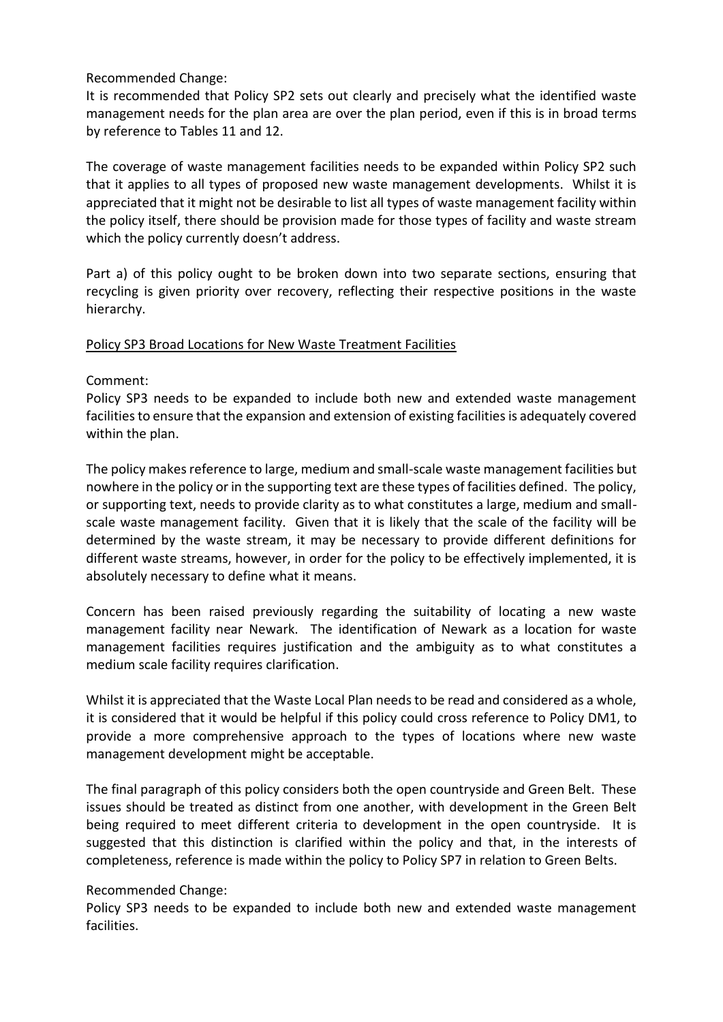It is recommended that Policy SP2 sets out clearly and precisely what the identified waste management needs for the plan area are over the plan period, even if this is in broad terms by reference to Tables 11 and 12.

The coverage of waste management facilities needs to be expanded within Policy SP2 such that it applies to all types of proposed new waste management developments. Whilst it is appreciated that it might not be desirable to list all types of waste management facility within the policy itself, there should be provision made for those types of facility and waste stream which the policy currently doesn't address.

Part a) of this policy ought to be broken down into two separate sections, ensuring that recycling is given priority over recovery, reflecting their respective positions in the waste hierarchy.

### Policy SP3 Broad Locations for New Waste Treatment Facilities

# Comment:

Policy SP3 needs to be expanded to include both new and extended waste management facilities to ensure that the expansion and extension of existing facilities is adequately covered within the plan.

The policy makes reference to large, medium and small-scale waste management facilities but nowhere in the policy or in the supporting text are these types of facilities defined. The policy, or supporting text, needs to provide clarity as to what constitutes a large, medium and smallscale waste management facility. Given that it is likely that the scale of the facility will be determined by the waste stream, it may be necessary to provide different definitions for different waste streams, however, in order for the policy to be effectively implemented, it is absolutely necessary to define what it means.

Concern has been raised previously regarding the suitability of locating a new waste management facility near Newark. The identification of Newark as a location for waste management facilities requires justification and the ambiguity as to what constitutes a medium scale facility requires clarification.

Whilst it is appreciated that the Waste Local Plan needs to be read and considered as a whole, it is considered that it would be helpful if this policy could cross reference to Policy DM1, to provide a more comprehensive approach to the types of locations where new waste management development might be acceptable.

The final paragraph of this policy considers both the open countryside and Green Belt. These issues should be treated as distinct from one another, with development in the Green Belt being required to meet different criteria to development in the open countryside. It is suggested that this distinction is clarified within the policy and that, in the interests of completeness, reference is made within the policy to Policy SP7 in relation to Green Belts.

#### Recommended Change:

Policy SP3 needs to be expanded to include both new and extended waste management facilities.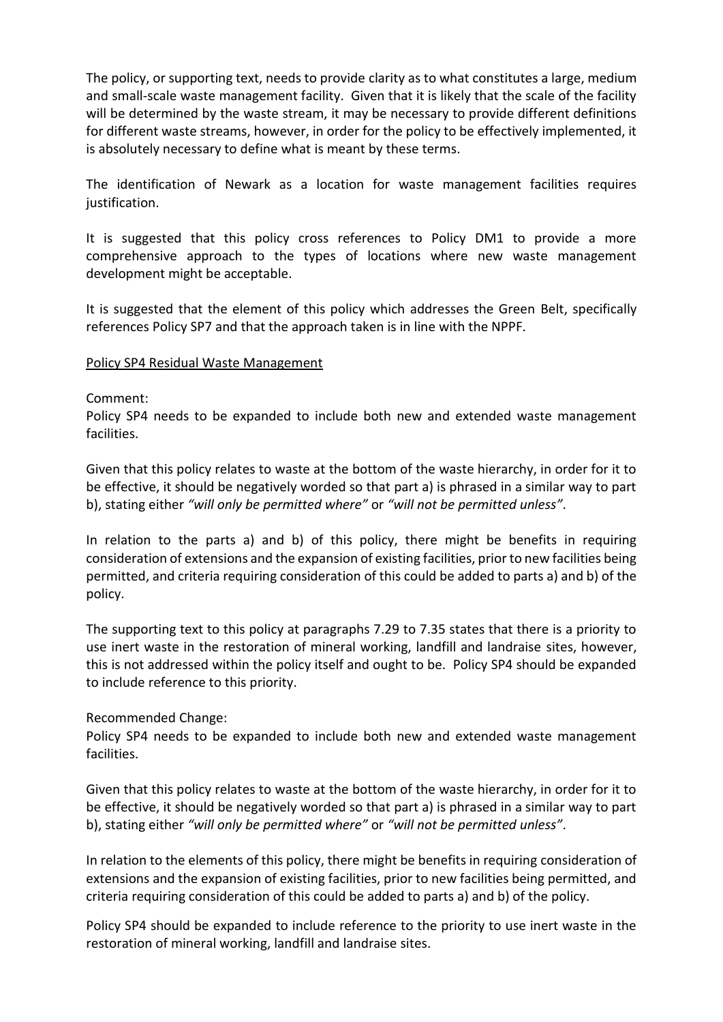The policy, or supporting text, needs to provide clarity as to what constitutes a large, medium and small-scale waste management facility. Given that it is likely that the scale of the facility will be determined by the waste stream, it may be necessary to provide different definitions for different waste streams, however, in order for the policy to be effectively implemented, it is absolutely necessary to define what is meant by these terms.

The identification of Newark as a location for waste management facilities requires justification.

It is suggested that this policy cross references to Policy DM1 to provide a more comprehensive approach to the types of locations where new waste management development might be acceptable.

It is suggested that the element of this policy which addresses the Green Belt, specifically references Policy SP7 and that the approach taken is in line with the NPPF.

#### Policy SP4 Residual Waste Management

#### Comment:

Policy SP4 needs to be expanded to include both new and extended waste management facilities.

Given that this policy relates to waste at the bottom of the waste hierarchy, in order for it to be effective, it should be negatively worded so that part a) is phrased in a similar way to part b), stating either *"will only be permitted where"* or *"will not be permitted unless"*.

In relation to the parts a) and b) of this policy, there might be benefits in requiring consideration of extensions and the expansion of existing facilities, prior to new facilities being permitted, and criteria requiring consideration of this could be added to parts a) and b) of the policy.

The supporting text to this policy at paragraphs 7.29 to 7.35 states that there is a priority to use inert waste in the restoration of mineral working, landfill and landraise sites, however, this is not addressed within the policy itself and ought to be. Policy SP4 should be expanded to include reference to this priority.

#### Recommended Change:

Policy SP4 needs to be expanded to include both new and extended waste management facilities.

Given that this policy relates to waste at the bottom of the waste hierarchy, in order for it to be effective, it should be negatively worded so that part a) is phrased in a similar way to part b), stating either *"will only be permitted where"* or *"will not be permitted unless"*.

In relation to the elements of this policy, there might be benefits in requiring consideration of extensions and the expansion of existing facilities, prior to new facilities being permitted, and criteria requiring consideration of this could be added to parts a) and b) of the policy.

Policy SP4 should be expanded to include reference to the priority to use inert waste in the restoration of mineral working, landfill and landraise sites.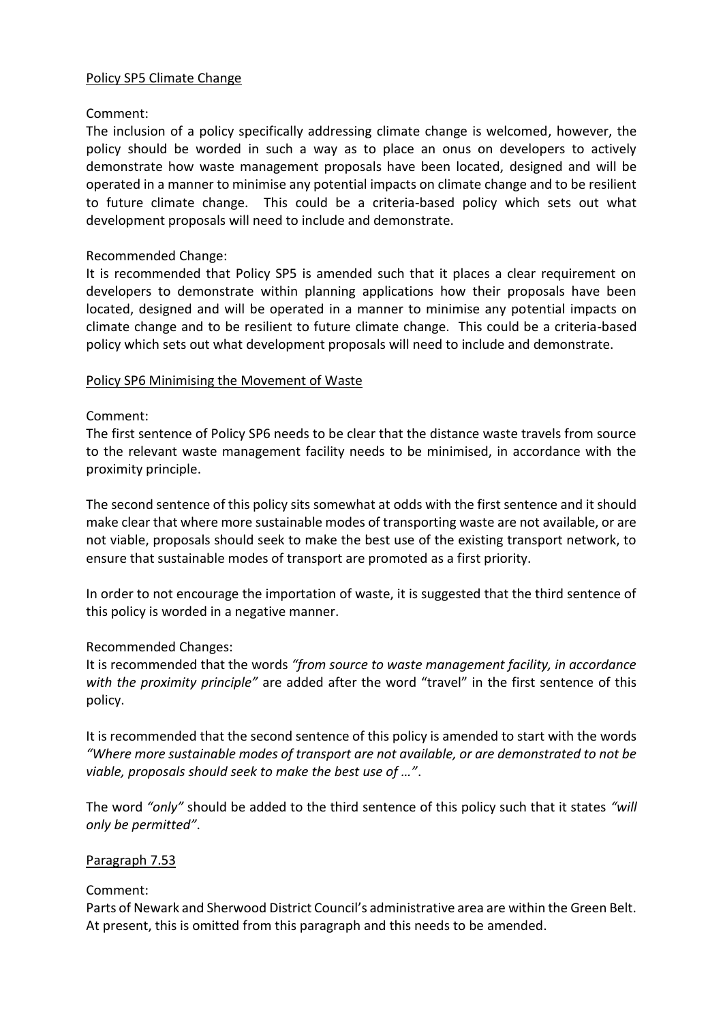#### Policy SP5 Climate Change

## Comment:

The inclusion of a policy specifically addressing climate change is welcomed, however, the policy should be worded in such a way as to place an onus on developers to actively demonstrate how waste management proposals have been located, designed and will be operated in a manner to minimise any potential impacts on climate change and to be resilient to future climate change. This could be a criteria-based policy which sets out what development proposals will need to include and demonstrate.

## Recommended Change:

It is recommended that Policy SP5 is amended such that it places a clear requirement on developers to demonstrate within planning applications how their proposals have been located, designed and will be operated in a manner to minimise any potential impacts on climate change and to be resilient to future climate change. This could be a criteria-based policy which sets out what development proposals will need to include and demonstrate.

### Policy SP6 Minimising the Movement of Waste

### Comment:

The first sentence of Policy SP6 needs to be clear that the distance waste travels from source to the relevant waste management facility needs to be minimised, in accordance with the proximity principle.

The second sentence of this policy sits somewhat at odds with the first sentence and it should make clear that where more sustainable modes of transporting waste are not available, or are not viable, proposals should seek to make the best use of the existing transport network, to ensure that sustainable modes of transport are promoted as a first priority.

In order to not encourage the importation of waste, it is suggested that the third sentence of this policy is worded in a negative manner.

# Recommended Changes:

It is recommended that the words *"from source to waste management facility, in accordance with the proximity principle"* are added after the word "travel" in the first sentence of this policy.

It is recommended that the second sentence of this policy is amended to start with the words *"Where more sustainable modes of transport are not available, or are demonstrated to not be viable, proposals should seek to make the best use of …"*.

The word *"only"* should be added to the third sentence of this policy such that it states *"will only be permitted"*.

#### Paragraph 7.53

# Comment:

Parts of Newark and Sherwood District Council's administrative area are within the Green Belt. At present, this is omitted from this paragraph and this needs to be amended.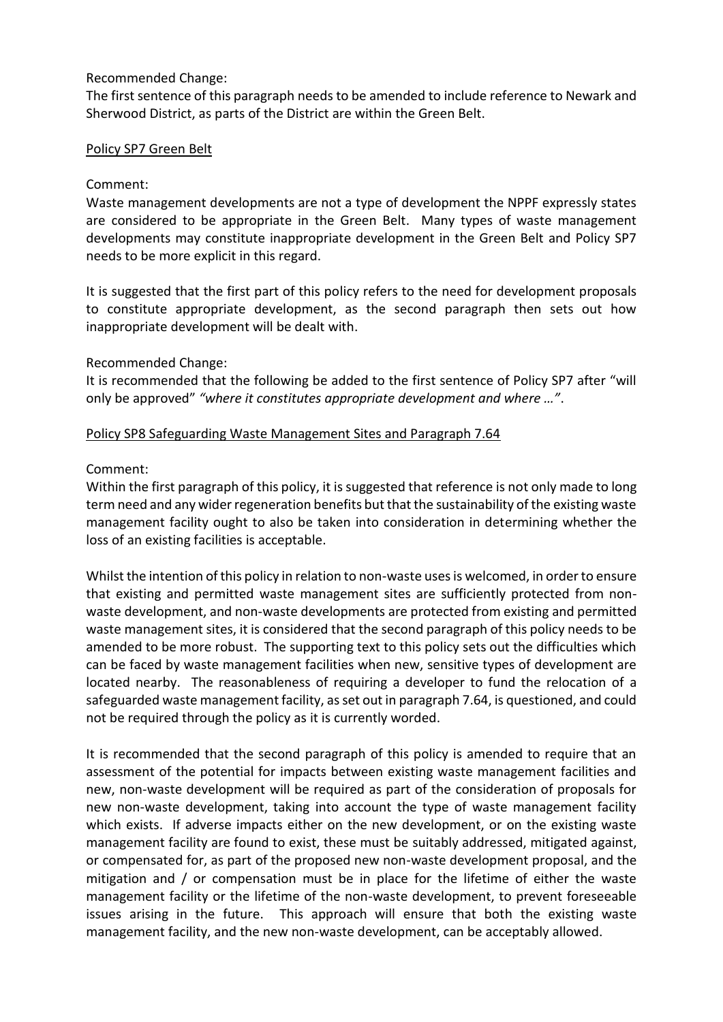The first sentence of this paragraph needs to be amended to include reference to Newark and Sherwood District, as parts of the District are within the Green Belt.

### Policy SP7 Green Belt

## Comment:

Waste management developments are not a type of development the NPPF expressly states are considered to be appropriate in the Green Belt. Many types of waste management developments may constitute inappropriate development in the Green Belt and Policy SP7 needs to be more explicit in this regard.

It is suggested that the first part of this policy refers to the need for development proposals to constitute appropriate development, as the second paragraph then sets out how inappropriate development will be dealt with.

Recommended Change:

It is recommended that the following be added to the first sentence of Policy SP7 after "will only be approved" *"where it constitutes appropriate development and where …"*.

### Policy SP8 Safeguarding Waste Management Sites and Paragraph 7.64

### Comment:

Within the first paragraph of this policy, it is suggested that reference is not only made to long term need and any wider regeneration benefits but that the sustainability of the existing waste management facility ought to also be taken into consideration in determining whether the loss of an existing facilities is acceptable.

Whilst the intention of this policy in relation to non-waste uses is welcomed, in order to ensure that existing and permitted waste management sites are sufficiently protected from nonwaste development, and non-waste developments are protected from existing and permitted waste management sites, it is considered that the second paragraph of this policy needs to be amended to be more robust. The supporting text to this policy sets out the difficulties which can be faced by waste management facilities when new, sensitive types of development are located nearby. The reasonableness of requiring a developer to fund the relocation of a safeguarded waste management facility, as set out in paragraph 7.64, is questioned, and could not be required through the policy as it is currently worded.

It is recommended that the second paragraph of this policy is amended to require that an assessment of the potential for impacts between existing waste management facilities and new, non-waste development will be required as part of the consideration of proposals for new non-waste development, taking into account the type of waste management facility which exists. If adverse impacts either on the new development, or on the existing waste management facility are found to exist, these must be suitably addressed, mitigated against, or compensated for, as part of the proposed new non-waste development proposal, and the mitigation and / or compensation must be in place for the lifetime of either the waste management facility or the lifetime of the non-waste development, to prevent foreseeable issues arising in the future. This approach will ensure that both the existing waste management facility, and the new non-waste development, can be acceptably allowed.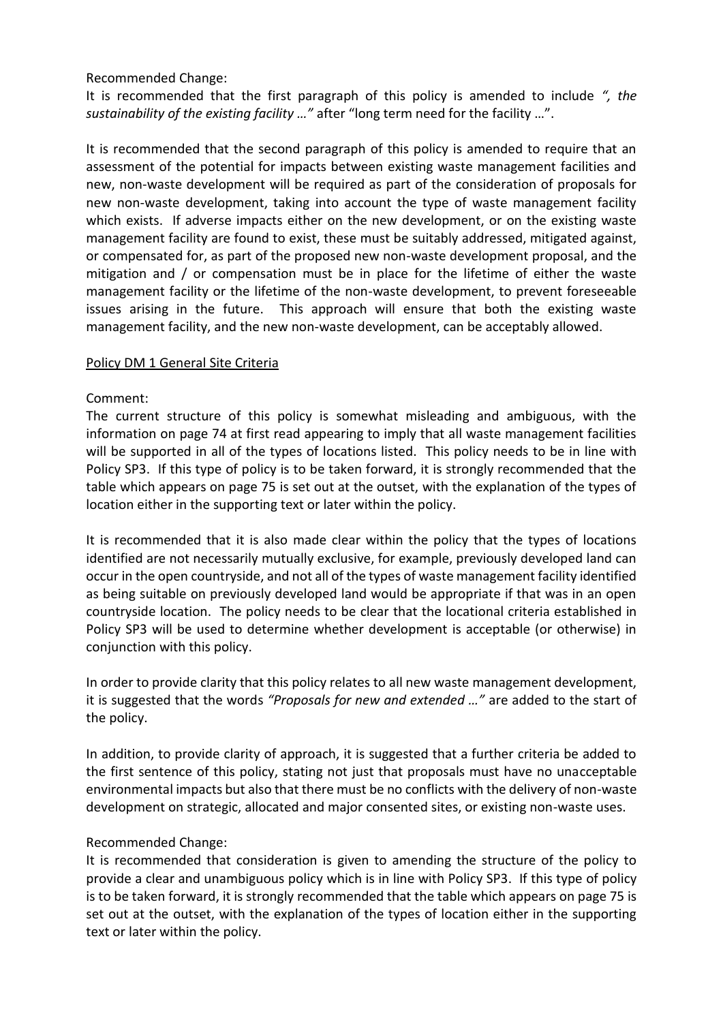It is recommended that the first paragraph of this policy is amended to include *", the sustainability of the existing facility …"* after "long term need for the facility …".

It is recommended that the second paragraph of this policy is amended to require that an assessment of the potential for impacts between existing waste management facilities and new, non-waste development will be required as part of the consideration of proposals for new non-waste development, taking into account the type of waste management facility which exists. If adverse impacts either on the new development, or on the existing waste management facility are found to exist, these must be suitably addressed, mitigated against, or compensated for, as part of the proposed new non-waste development proposal, and the mitigation and / or compensation must be in place for the lifetime of either the waste management facility or the lifetime of the non-waste development, to prevent foreseeable issues arising in the future. This approach will ensure that both the existing waste management facility, and the new non-waste development, can be acceptably allowed.

#### Policy DM 1 General Site Criteria

# Comment:

The current structure of this policy is somewhat misleading and ambiguous, with the information on page 74 at first read appearing to imply that all waste management facilities will be supported in all of the types of locations listed. This policy needs to be in line with Policy SP3. If this type of policy is to be taken forward, it is strongly recommended that the table which appears on page 75 is set out at the outset, with the explanation of the types of location either in the supporting text or later within the policy.

It is recommended that it is also made clear within the policy that the types of locations identified are not necessarily mutually exclusive, for example, previously developed land can occur in the open countryside, and not all of the types of waste management facility identified as being suitable on previously developed land would be appropriate if that was in an open countryside location. The policy needs to be clear that the locational criteria established in Policy SP3 will be used to determine whether development is acceptable (or otherwise) in conjunction with this policy.

In order to provide clarity that this policy relates to all new waste management development, it is suggested that the words *"Proposals for new and extended …"* are added to the start of the policy.

In addition, to provide clarity of approach, it is suggested that a further criteria be added to the first sentence of this policy, stating not just that proposals must have no unacceptable environmental impacts but also that there must be no conflicts with the delivery of non-waste development on strategic, allocated and major consented sites, or existing non-waste uses.

# Recommended Change:

It is recommended that consideration is given to amending the structure of the policy to provide a clear and unambiguous policy which is in line with Policy SP3. If this type of policy is to be taken forward, it is strongly recommended that the table which appears on page 75 is set out at the outset, with the explanation of the types of location either in the supporting text or later within the policy.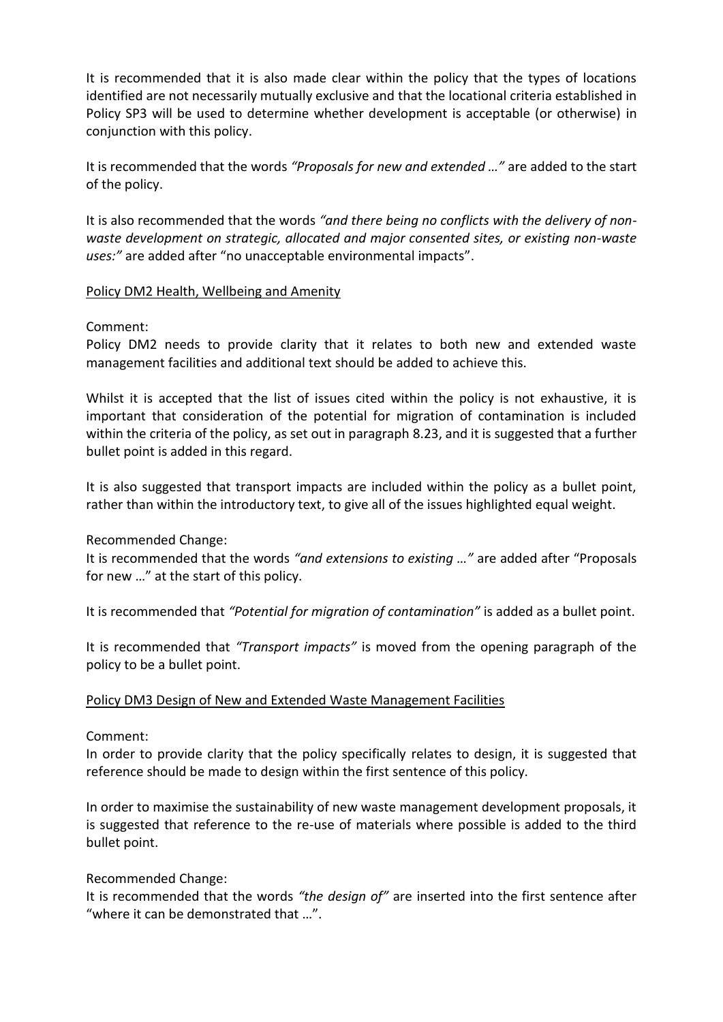It is recommended that it is also made clear within the policy that the types of locations identified are not necessarily mutually exclusive and that the locational criteria established in Policy SP3 will be used to determine whether development is acceptable (or otherwise) in conjunction with this policy.

It is recommended that the words *"Proposals for new and extended …"* are added to the start of the policy.

It is also recommended that the words *"and there being no conflicts with the delivery of nonwaste development on strategic, allocated and major consented sites, or existing non-waste uses:"* are added after "no unacceptable environmental impacts".

### Policy DM2 Health, Wellbeing and Amenity

### Comment:

Policy DM2 needs to provide clarity that it relates to both new and extended waste management facilities and additional text should be added to achieve this.

Whilst it is accepted that the list of issues cited within the policy is not exhaustive, it is important that consideration of the potential for migration of contamination is included within the criteria of the policy, as set out in paragraph 8.23, and it is suggested that a further bullet point is added in this regard.

It is also suggested that transport impacts are included within the policy as a bullet point, rather than within the introductory text, to give all of the issues highlighted equal weight.

Recommended Change:

It is recommended that the words *"and extensions to existing …"* are added after "Proposals for new …" at the start of this policy.

It is recommended that *"Potential for migration of contamination"* is added as a bullet point.

It is recommended that *"Transport impacts"* is moved from the opening paragraph of the policy to be a bullet point.

# Policy DM3 Design of New and Extended Waste Management Facilities

# Comment:

In order to provide clarity that the policy specifically relates to design, it is suggested that reference should be made to design within the first sentence of this policy.

In order to maximise the sustainability of new waste management development proposals, it is suggested that reference to the re-use of materials where possible is added to the third bullet point.

#### Recommended Change:

It is recommended that the words *"the design of"* are inserted into the first sentence after "where it can be demonstrated that …".